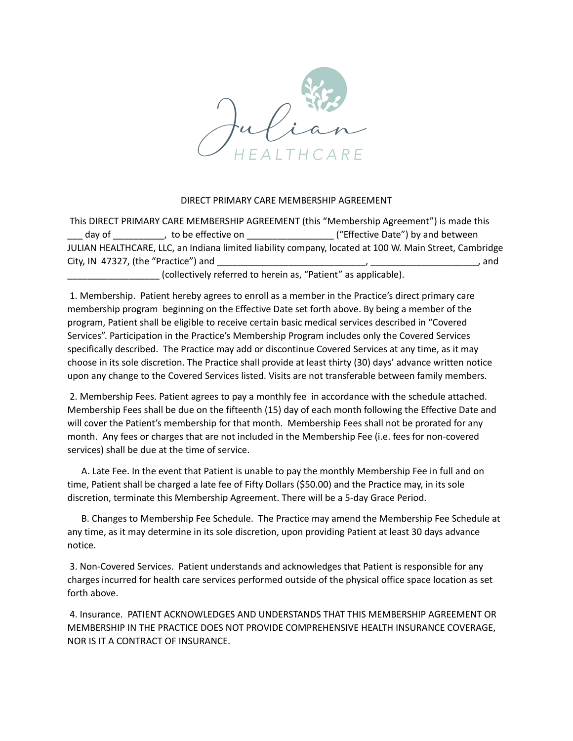

## DIRECT PRIMARY CARE MEMBERSHIP AGREEMENT

This DIRECT PRIMARY CARE MEMBERSHIP AGREEMENT (this "Membership Agreement") is made this \_\_\_ day of \_\_\_\_\_\_\_\_\_\_, to be effective on \_\_\_\_\_\_\_\_\_\_\_\_\_\_\_\_\_ ("Effective Date") by and between JULIAN HEALTHCARE, LLC, an Indiana limited liability company, located at 100 W. Main Street, Cambridge City, IN 47327, (the "Practice") and  $\overline{a}$ 

collectively referred to herein as, "Patient" as applicable).

1. Membership. Patient hereby agrees to enroll as a member in the Practice's direct primary care membership program beginning on the Effective Date set forth above. By being a member of the program, Patient shall be eligible to receive certain basic medical services described in "Covered Services". Participation in the Practice's Membership Program includes only the Covered Services specifically described. The Practice may add or discontinue Covered Services at any time, as it may choose in its sole discretion. The Practice shall provide at least thirty (30) days' advance written notice upon any change to the Covered Services listed. Visits are not transferable between family members.

2. Membership Fees. Patient agrees to pay a monthly fee in accordance with the schedule attached. Membership Fees shall be due on the fifteenth (15) day of each month following the Effective Date and will cover the Patient's membership for that month. Membership Fees shall not be prorated for any month. Any fees or charges that are not included in the Membership Fee (i.e. fees for non-covered services) shall be due at the time of service.

A. Late Fee. In the event that Patient is unable to pay the monthly Membership Fee in full and on time, Patient shall be charged a late fee of Fifty Dollars (\$50.00) and the Practice may, in its sole discretion, terminate this Membership Agreement. There will be a 5-day Grace Period.

B. Changes to Membership Fee Schedule. The Practice may amend the Membership Fee Schedule at any time, as it may determine in its sole discretion, upon providing Patient at least 30 days advance notice.

3. Non-Covered Services. Patient understands and acknowledges that Patient is responsible for any charges incurred for health care services performed outside of the physical office space location as set forth above.

4. Insurance. PATIENT ACKNOWLEDGES AND UNDERSTANDS THAT THIS MEMBERSHIP AGREEMENT OR MEMBERSHIP IN THE PRACTICE DOES NOT PROVIDE COMPREHENSIVE HEALTH INSURANCE COVERAGE, NOR IS IT A CONTRACT OF INSURANCE.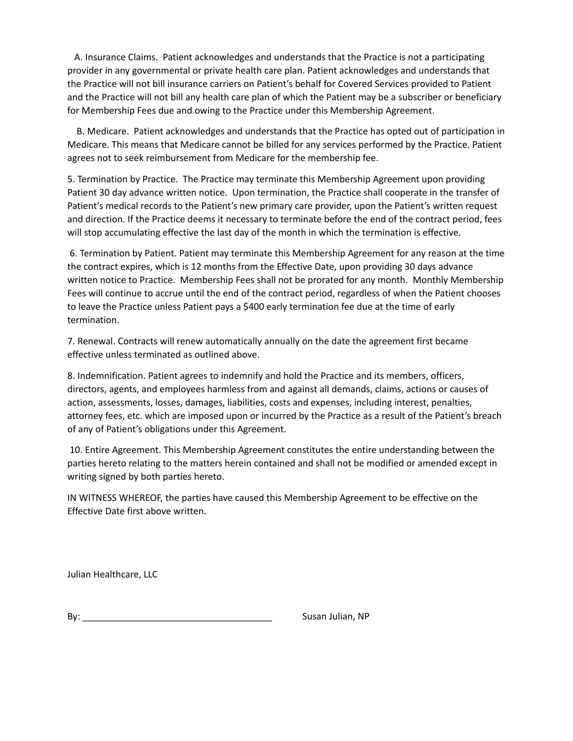A. Insurance Claims. Patient acknowledges and understands that the Practice is not a participating provider in any governmental or private health care plan. Patient acknowledges and understands that the Practice will not bill insurance carriers on Patient's behalf for Covered Services provided to Patient and the Practice will not bill any health care plan of which the Patient may be a subscriber or beneficiary for Membership Fees due and owing to the Practice under this Membership Agreement.

B. Medicare. Patient acknowledges and understands that the Practice has opted out of participation in Medicare. This means that Medicare cannot be billed for any services performed by the Practice. Patient agrees not to seek reimbursement from Medicare for the membership fee.

5. Termination by Practice. The Practice may terminate this Membership Agreement upon providing Patient 30 day advance written notice. Upon termination, the Practice shall cooperate in the transfer of Patient's medical records to the Patient's new primary care provider, upon the Patient's written request and direction. If the Practice deems it necessary to terminate before the end of the contract period, fees will stop accumulating effective the last day of the month in which the termination is effective.

6. Termination by Patient. Patient may terminate this Membership Agreement for any reason at the time the contract expires, which is 12 months from the Effective Date, upon providing 30 days advance written notice to Practice. Membership Fees shall not be prorated for any month. Monthly Membership Fees will continue to accrue until the end of the contract period, regardless of when the Patient chooses to leave the Practice unless Patient pays a \$400 early termination fee due at the time of early termination.

7. Renewal. Contracts will renew automatically annually on the date the agreement first became effective unless terminated as outlined above.

8. Indemnification. Patient agrees to indemnify and hold the Practice and its members, officers, directors, agents, and employees harmless from and against all demands, claims, actions or causes of action, assessments, losses, damages, liabilities, costs and expenses, including interest, penalties, attorney fees, etc. which are imposed upon or incurred by the Practice as a result of the Patient's breach of any of Patient's obligations under this Agreement.

10. Entire Agreement. This Membership Agreement constitutes the entire understanding between the parties hereto relating to the matters herein contained and shall not be modified or amended except in writing signed by both parties hereto.

IN WITNESS WHEREOF, the parties have caused this Membership Agreement to be effective on the Effective Date first above written.

Julian Healthcare, LLC

By: Susan Julian, NP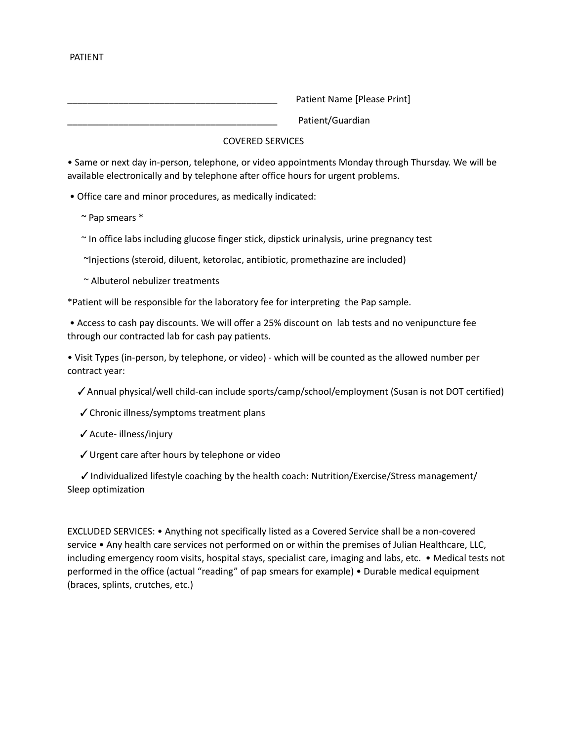Patient Name [Please Print]

Patient/Guardian

# COVERED SERVICES

• Same or next day in-person, telephone, or video appointments Monday through Thursday. We will be available electronically and by telephone after office hours for urgent problems.

• Office care and minor procedures, as medically indicated:

~ Pap smears \*

~ In office labs including glucose finger stick, dipstick urinalysis, urine pregnancy test

~Injections (steroid, diluent, ketorolac, antibiotic, promethazine are included)

~ Albuterol nebulizer treatments

\*Patient will be responsible for the laboratory fee for interpreting the Pap sample.

• Access to cash pay discounts. We will offer a 25% discount on lab tests and no venipuncture fee through our contracted lab for cash pay patients.

• Visit Types (in-person, by telephone, or video) - which will be counted as the allowed number per contract year:

✓Annual physical/well child-can include sports/camp/school/employment (Susan is not DOT certified)

- ✓Chronic illness/symptoms treatment plans
- ✓Acute- illness/injury
- ✓Urgent care after hours by telephone or video

 $\checkmark$  Individualized lifestyle coaching by the health coach: Nutrition/Exercise/Stress management/ Sleep optimization

EXCLUDED SERVICES: • Anything not specifically listed as a Covered Service shall be a non-covered service • Any health care services not performed on or within the premises of Julian Healthcare, LLC, including emergency room visits, hospital stays, specialist care, imaging and labs, etc. • Medical tests not performed in the office (actual "reading" of pap smears for example) • Durable medical equipment (braces, splints, crutches, etc.)